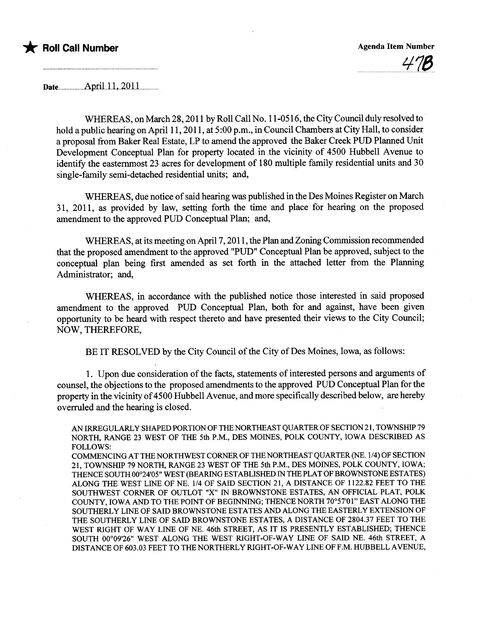

 $\overline{\phantom{a}}$ 

Date..uuu...........uApril...L...20ll

WHEREAS, on March 28, 2011 by Roll Call No. 11-0516, the City Council duly resolved to hold a public hearing on April 11, 2011, at 5:00 p.m., in Council Chambers at City Hall, to consider a proposal from Baker Real Estate, LP to amend the approved the Baker Creek PUD Planed Unit Development Conceptual Plan for property located in the vicinity of 4500 Hubbell Avenue to identify the easternmost 23 acres for development of 180 multiple family residential units and 30 single-family semi-detached residential units; and,

WHEREAS, due notice of said hearing was published in the Des Moines Register on March 31, 2011, as provided by law, setting forth the time and place for hearng on the proposed amendment to the approved PUD Conceptual Plan; and,

WHEREAS, at its meeting on April 7, 2011, the Plan and Zoning Commission recommended that the proposed amendment to the approved "PUD" Conceptual Plan be approved, subject to the conceptual plan being first amended as set forth in the attached letter from the Planning Administrator; and,

WHEREAS, in accordance with the published notice those interested in said proposed amendment to the approved PUD Conceptual Plan, both for and against, have been given opportunity to be heard with respect thereto and have presented their views to the City Council; NOW, THEREFORE,

BE IT RESOLVED by the City Council of the City of Des Moines, Iowa, as follows:

1. Upon due consideration of the facts, statements of interested persons and arguments of counsel, the objections to the proposed amendments to the approved PUD Conceptual Plan for the property in the vicinity of 4500 Hubbell Avenue, and more specifically described below, are hereby overruled and the hearing is closed.

AN IRREGULARLY SHAPED PORTION OF THE NORTHEAST QUARTER OF SECTION 21, TOWNSHIP 79 NORTH, RANGE 23 WEST OF THE 5th P.M., DES MOINES, POLK COUNTY, IOWA DESCRIBED AS FOLLOWS:

COMMENCING AT THE NORTHWEST CORNER OF THE NORTHEAST QUARTER (NE. 1/4) OF SECTION 21, TOWNSHIP 79 NORTH, RANGE 23 WEST OF THE 5th P.M., DES MOINS, POLK COUNTY, IOWA; THENCE SOUTH 00°24'05" WEST (BEARING ESTABLISHED IN THE PLAT OF BROWNSTONE ESTATES) ALONG THE WEST LINE OF NE. 1/4 OF SAID SECTION 21, A DISTANCE OF 1122.82 FEET TO THE SOUTHWEST CORNER OF OUTLOT "X" IN BROWNSTONE ESTATES, AN OFFICIAL PLAT, POLK COUNTY, IOWA AND TO THE POINT OF BEGINING; THENCE NORTH 70°57'01" EAST ALONG THE SOUTHERLY LINE OF SAID BROWNSTONE ESTATES AND ALONG THE EASTERLY EXTENSION OF THE SOUTHERLY LINE OF SAID BROWNSTONE ESTATES, A DISTANCE OF 2804.37 FEET TO THE WEST RIGHT OF WAY LINE OF NE. 46th STREET, AS IT IS PRESENTLY ESTABLISHED; THENCE SOUTH 00°09'26" WEST ALONG THE WEST RIGHT-OF-WAY LINE OF SAID NE. 46th STREET, A DISTANCE OF 603.03 FEET TO THE NORTHERLY RIGHT-OF-WAY LINE OF F.M. HUBBELL AVENUE,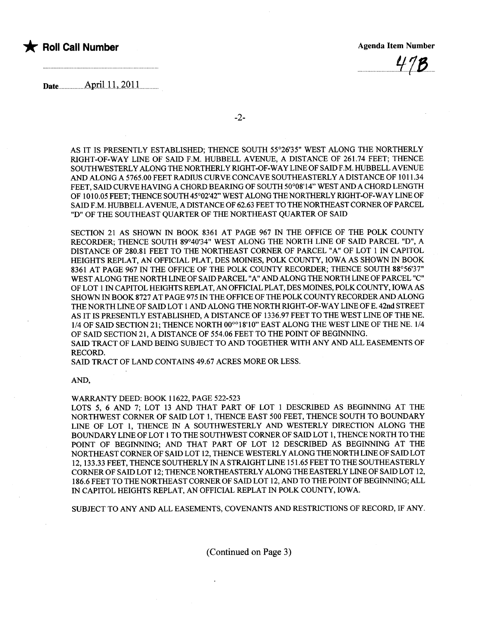## \* Roll Call Number Agenda Item Number Agenda Item Number



Date $\frac{\text{April }11,2011}{\text{Im}}$ 

AS IT IS PRESENTLY ESTABLISHED; THENCE SOUTH 55°26'35" WEST ALONG THE NORTHERLY RIGHT-OF-WAY LINE OF SAID F.M. HUBBELL AVENUE, A DISTANCE OF 261.74 FEET: THENCE SOUTHWESTERLY ALONG THE NORTHERLY RIGHT-OF-WAY LINE OF SAID F.M. HUBBELL AVENUE AND ALONG A 5765.00 FEET RADIUS CURVE CONCAVE SOUTHEASTERLY A DISTANCE OF 1011.34 FEET, SAID CURVE HAVING A CHORD BEARING OF SOUTH 50°08'14" WEST AND A CHORD LENGTH OF 1010.05 FEET; THENCE SOUTH 45°02'42" WEST ALONG THE NORTHERLY RIGHT-OF-WAY LINE OF SAID F.M. HUBBELL AVENUE, A DISTANCE OF 62.63 FEET TO THE NORTHEAST CORNER OF PARCEL "D" OF THE SOUTHEAST QUARTER OF THE NORTHEAST QUARTER OF SAID

SECTION 21 AS SHOWN IN BOOK 8361 AT PAGE 967 IN THE OFFICE OF THE POLK COUNTY RECORDER; THENCE SOUTH 89°40'34" WEST ALONG THE NORTH LINE OF SAID PARCEL "D", A DISTANCE OF 280.81 FEET TO THE NORTHEAST CORNER OF PARCEL "A" OF LOT 1 IN CAPITOL HEIGHTS REPLAT, AN OFFICIAL PLAT, DES MOINES, POLK COUNTY, IOWA AS SHOWN IN BOOK 8361 AT PAGE 967 IN THE OFFICE OF THE POLK COUNTY RECORDER; THENCE SOUTH 88°56'37" WEST ALONG THE NORTH LINE OF SAID PARCEL "A" AND ALONG THE NORTH LINE OF PARCEL "C" OF LOT 1 IN CAPITOL HEIGHTS REPLAT, AN OFFICIAL PLAT, DES MOINES, POLK COUNTY, IOWA AS SHOWN IN BOOK 8727 AT PAGE 975 IN THE OFFICE OF THE POLK COUNTY RECORDER AND ALONG THE NORTH LINE OF SAID LOT 1 AND ALONG THE NORTH RIGHT-OF-WAY LINE OF E. 42nd STREET AS IT IS PRESENTLY ESTABLISHED, A DISTANCE OF 1336.97 FEET TO THE WEST LINE OF THE NE. 1/4 OF SAID SECTION 21; THENCE NORTH 00°°18'10" EAST ALONG THE WEST LINE OF THE NE. 1/4 OF SAID SECTION 21, A DISTANCE OF 554.06 FEET TO THE POINT OF BEGINING.

SAID TRACT OF LAND BEING SUBJECT TO AND TOGETHER WITH ANY AND ALL EASEMENTS OF RECORD.

SAID TRACT OF LAND CONTAINS 49.67 ACRES MORE OR LESS.

AND,

## WARNTY DEED: BOOK 11622, PAGE 522-523

LOTS 5, 6 AND 7; LOT 13 AND THAT PART OF LOT 1 DESCRIBED AS BEGINING AT THE NORTHWEST CORNER OF SAID LOT 1, THENCE EAST 500 FEET, THENCE SOUTH TO BOUNDARY LINE OF LOT 1, THENCE IN A SOUTHWESTERLY AND WESTERLY DIRECTION ALONG THE BOUNDARY LINE OF LOT 1 TO THE SOUTHWEST CORNER OF SAID LOT 1, THENCE NORTH TO THE POINT OF BEGINNING; AND THAT PART OF LOT 12 DESCRIBED AS BEGINNING AT THE NORTHEAST CORNER OF SAID LOT 12, THENCE WESTERLY ALONG THE NORTH LINE OF SAID LOT 12, 133.33 FEET, THENCE SOUTHERLY IN A STRAIGHT LINE 151.65 FEET TO THE SOUTHEASTERLY CORNER OF SAID LOT 12; THENCE NORTHEASTERLY ALONG THE EASTERLY LINE OF SAID LOT 12, 186.6 FEET TO THE NORTHEAST CORNER OF SAID LOT 12, AND TO THE POINT OF BEGINNING; ALL IN CAPITOL HEIGHTS REPLAT, AN OFFICIAL REPLAT IN POLK COUNTY, IOWA.

SUBJECT TO ANY AND ALL EASEMENTS, COVENANTS AND RESTRICTIONS OF RECORD, IF ANY.